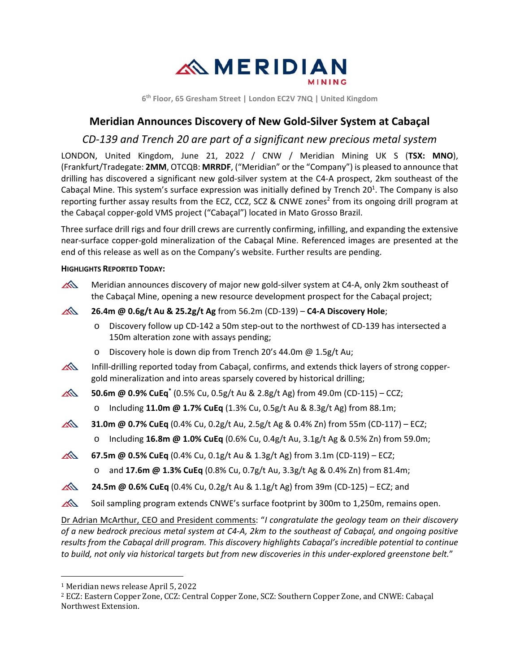

**6th Floor, 65 Gresham Street | London EC2V 7NQ | United Kingdom** 

# **Meridian Announces Discovery of New Gold‐Silver System at Cabaçal**

# *CD‐139 and Trench 20 are part of a significant new precious metal system*

LONDON, United Kingdom, June 21, 2022 / CNW / Meridian Mining UK S (**TSX: MNO**), (Frankfurt/Tradegate: **2MM**, OTCQB: **MRRDF**, ("Meridian" or the "Company") is pleased to announce that drilling has discovered a significant new gold‐silver system at the C4‐A prospect, 2km southeast of the Cabaçal Mine. This system's surface expression was initially defined by Trench 20<sup>1</sup>. The Company is also reporting further assay results from the ECZ, CCZ, SCZ & CNWE zones<sup>2</sup> from its ongoing drill program at the Cabaçal copper‐gold VMS project ("Cabaçal") located in Mato Grosso Brazil.

Three surface drill rigs and four drill crews are currently confirming, infilling, and expanding the extensive near‐surface copper‐gold mineralization of the Cabaçal Mine. Referenced images are presented at the end of this release as well as on the Company's website. Further results are pending.

## **HIGHLIGHTS REPORTED TODAY:**



Dr Adrian McArthur, CEO and President comments: "*I congratulate the geology team on their discovery of a new bedrock precious metal system at C4‐A, 2km to the southeast of Cabaçal, and ongoing positive results from the Cabaçal drill program. This discovery highlights Cabaçal's incredible potential to continue to build, not only via historical targets but from new discoveries in this under‐explored greenstone belt.*"

<sup>1</sup> Meridian news release April 5, 2022

<sup>2</sup> ECZ: Eastern Copper Zone, CCZ: Central Copper Zone, SCZ: Southern Copper Zone, and CNWE: Cabaçal Northwest Extension.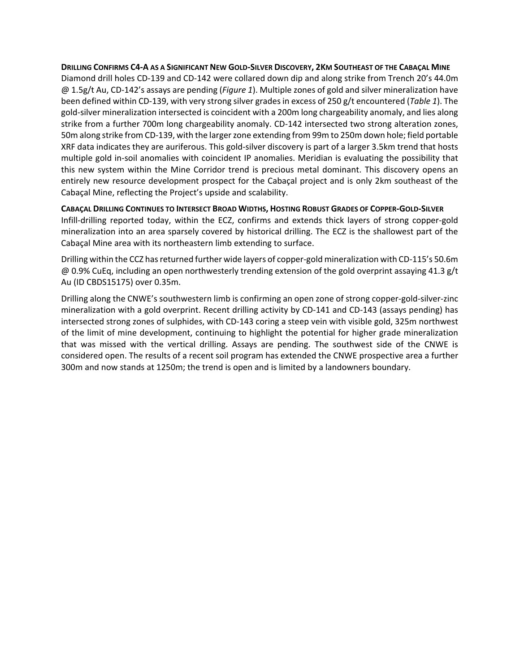### **DRILLING CONFIRMS C4‐A AS A SIGNIFICANT NEW GOLD‐SILVER DISCOVERY, 2KM SOUTHEAST OF THE CABAÇAL MINE**

Diamond drill holes CD‐139 and CD‐142 were collared down dip and along strike from Trench 20's 44.0m @ 1.5g/t Au, CD‐142's assays are pending (*Figure 1*). Multiple zones of gold and silver mineralization have been defined within CD‐139, with very strong silver grades in excess of 250 g/t encountered (*Table 1*). The gold‐silver mineralization intersected is coincident with a 200m long chargeability anomaly, and lies along strike from a further 700m long chargeability anomaly. CD‐142 intersected two strong alteration zones, 50m along strike from CD‐139, with the larger zone extending from 99m to 250m down hole; field portable XRF data indicates they are auriferous. This gold‐silver discovery is part of a larger 3.5km trend that hosts multiple gold in‐soil anomalies with coincident IP anomalies. Meridian is evaluating the possibility that this new system within the Mine Corridor trend is precious metal dominant. This discovery opens an entirely new resource development prospect for the Cabaçal project and is only 2km southeast of the Cabaçal Mine, reflecting the Project's upside and scalability.

**CABAÇAL DRILLING CONTINUES TO INTERSECT BROAD WIDTHS, HOSTING ROBUST GRADES OF COPPER‐GOLD‐SILVER** Infill-drilling reported today, within the ECZ, confirms and extends thick layers of strong copper-gold mineralization into an area sparsely covered by historical drilling. The ECZ is the shallowest part of the Cabaçal Mine area with its northeastern limb extending to surface.

Drilling within the CCZ has returned further wide layers of copper‐gold mineralization with CD‐115's 50.6m @ 0.9% CuEq, including an open northwesterly trending extension of the gold overprint assaying 41.3 g/t Au (ID CBDS15175) over 0.35m.

Drilling along the CNWE's southwestern limb is confirming an open zone of strong copper‐gold‐silver‐zinc mineralization with a gold overprint. Recent drilling activity by CD‐141 and CD‐143 (assays pending) has intersected strong zones of sulphides, with CD-143 coring a steep vein with visible gold, 325m northwest of the limit of mine development, continuing to highlight the potential for higher grade mineralization that was missed with the vertical drilling. Assays are pending. The southwest side of the CNWE is considered open. The results of a recent soil program has extended the CNWE prospective area a further 300m and now stands at 1250m; the trend is open and is limited by a landowners boundary.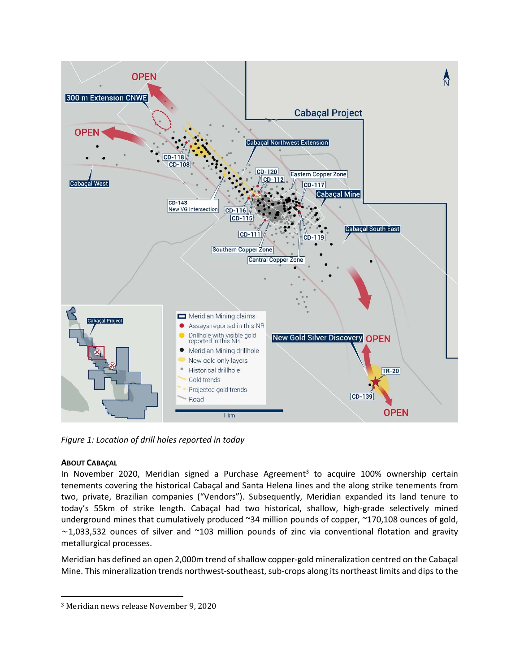

*Figure 1: Location of drill holes reported in today*

## **ABOUT CABAÇAL**

In November 2020, Meridian signed a Purchase Agreement<sup>3</sup> to acquire 100% ownership certain tenements covering the historical Cabaçal and Santa Helena lines and the along strike tenements from two, private, Brazilian companies ("Vendors"). Subsequently, Meridian expanded its land tenure to today's 55km of strike length. Cabaçal had two historical, shallow, high‐grade selectively mined underground mines that cumulatively produced ~34 million pounds of copper, ~170,108 ounces of gold,  $\sim$ 1,033,532 ounces of silver and  $\sim$ 103 million pounds of zinc via conventional flotation and gravity metallurgical processes.

Meridian has defined an open 2,000m trend of shallow copper‐gold mineralization centred on the Cabaçal Mine. This mineralization trends northwest‐southeast, sub‐crops along its northeast limits and dips to the

<sup>3</sup> Meridian news release November 9, 2020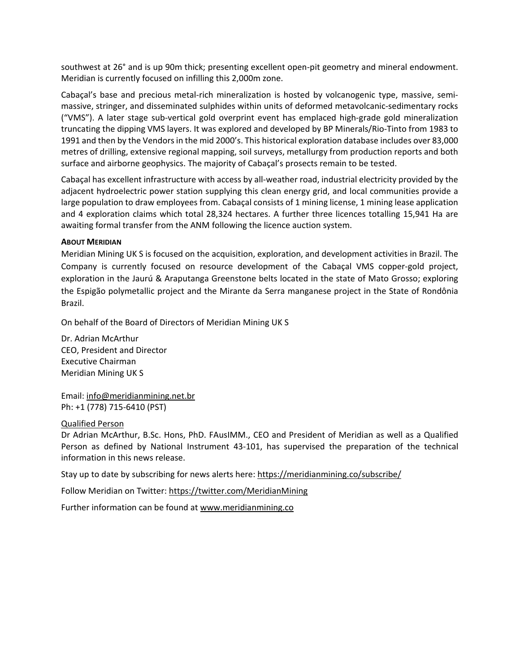southwest at 26° and is up 90m thick; presenting excellent open‐pit geometry and mineral endowment. Meridian is currently focused on infilling this 2,000m zone.

Cabaçal's base and precious metal‐rich mineralization is hosted by volcanogenic type, massive, semi‐ massive, stringer, and disseminated sulphides within units of deformed metavolcanic‐sedimentary rocks ("VMS"). A later stage sub‐vertical gold overprint event has emplaced high‐grade gold mineralization truncating the dipping VMS layers. It was explored and developed by BP Minerals/Rio‐Tinto from 1983 to 1991 and then by the Vendors in the mid 2000's. This historical exploration database includes over 83,000 metres of drilling, extensive regional mapping, soil surveys, metallurgy from production reports and both surface and airborne geophysics. The majority of Cabaçal's prosects remain to be tested.

Cabaçal has excellent infrastructure with access by all‐weather road, industrial electricity provided by the adjacent hydroelectric power station supplying this clean energy grid, and local communities provide a large population to draw employees from. Cabaçal consists of 1 mining license, 1 mining lease application and 4 exploration claims which total 28,324 hectares. A further three licences totalling 15,941 Ha are awaiting formal transfer from the ANM following the licence auction system.

### **ABOUT MERIDIAN**

Meridian Mining UK S is focused on the acquisition, exploration, and development activities in Brazil. The Company is currently focused on resource development of the Cabaçal VMS copper‐gold project, exploration in the Jaurú & Araputanga Greenstone belts located in the state of Mato Grosso; exploring the Espigão polymetallic project and the Mirante da Serra manganese project in the State of Rondônia Brazil.

On behalf of the Board of Directors of Meridian Mining UK S

Dr. Adrian McArthur CEO, President and Director Executive Chairman Meridian Mining UK S

Email: info@meridianmining.net.br Ph: +1 (778) 715‐6410 (PST)

#### Qualified Person

Dr Adrian McArthur, B.Sc. Hons, PhD. FAusIMM., CEO and President of Meridian as well as a Qualified Person as defined by National Instrument 43‐101, has supervised the preparation of the technical information in this news release.

Stay up to date by subscribing for news alerts here: https://meridianmining.co/subscribe/

Follow Meridian on Twitter: https://twitter.com/MeridianMining

Further information can be found at www.meridianmining.co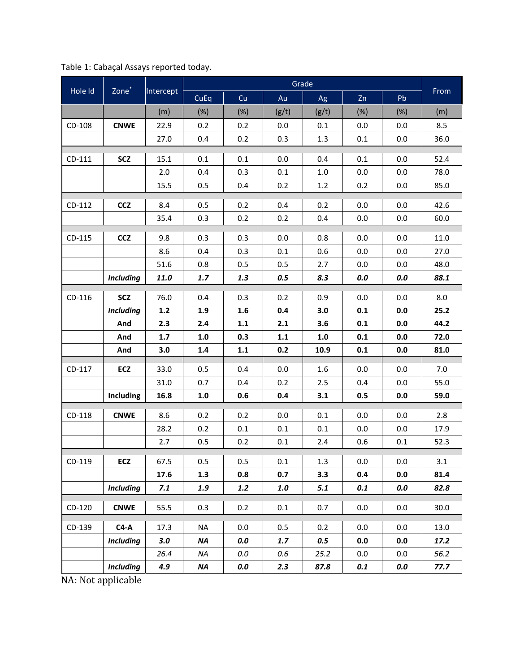| Hole Id  | Zone <sup>*</sup> | Intercept   | Grade     |            |            |              |            |                |              |
|----------|-------------------|-------------|-----------|------------|------------|--------------|------------|----------------|--------------|
|          |                   |             | CuEq      | Cu         | Au         | Ag           | Zn         | Pb             | From         |
|          |                   | (m)         | (%)       | (%)        | (g/t)      | (g/t)        | (%)        | (%)            | (m)          |
| CD-108   | <b>CNWE</b>       | 22.9        | 0.2       | 0.2        | 0.0        | 0.1          | 0.0        | 0.0            | 8.5          |
|          |                   | 27.0        | 0.4       | 0.2        | 0.3        | 1.3          | 0.1        | 0.0            | 36.0         |
| CD-111   | <b>SCZ</b>        | 15.1        | 0.1       | 0.1        | 0.0        | 0.4          | 0.1        | 0.0            | 52.4         |
|          |                   | 2.0         | 0.4       | 0.3        | 0.1        | 1.0          | 0.0        | 0.0            | 78.0         |
|          |                   | 15.5        | 0.5       | 0.4        | 0.2        | 1.2          | 0.2        | 0.0            | 85.0         |
|          |                   |             |           |            |            |              |            |                |              |
| CD-112   | <b>CCZ</b>        | 8.4         | 0.5       | 0.2        | 0.4        | 0.2          | 0.0        | 0.0            | 42.6         |
|          |                   | 35.4        | 0.3       | 0.2        | 0.2        | 0.4          | 0.0        | 0.0            | 60.0         |
| CD-115   | <b>CCZ</b>        | 9.8         | 0.3       | 0.3        | 0.0        | 0.8          | 0.0        | 0.0            | 11.0         |
|          |                   | 8.6         | 0.4       | 0.3        | 0.1        | 0.6          | 0.0        | 0.0            | 27.0         |
|          |                   | 51.6        | 0.8       | 0.5        | 0.5        | 2.7          | 0.0        | 0.0            | 48.0         |
|          | <b>Including</b>  | 11.0        | 1.7       | 1.3        | 0.5        | 8.3          | $0.0\,$    | $0.0\,$        | 88.1         |
| $CD-116$ | <b>SCZ</b>        | 76.0        | 0.4       | 0.3        | 0.2        | 0.9          | 0.0        | 0.0            | 8.0          |
|          | <b>Including</b>  | $1.2$       | 1.9       | 1.6        | 0.4        | 3.0          | 0.1        | 0.0            | 25.2         |
|          | And               | 2.3         | 2.4       | $1.1\,$    | 2.1        | 3.6          | 0.1        | 0.0            | 44.2         |
|          | And               | 1.7         | 1.0       | 0.3        | 1.1        | $1.0\,$      | 0.1        | 0.0            | 72.0         |
|          | And               | 3.0         | 1.4       | $1.1\,$    | 0.2        | 10.9         | 0.1        | 0.0            | 81.0         |
| CD-117   | ECZ               | 33.0        | 0.5       | 0.4        | 0.0        | 1.6          | 0.0        | 0.0            | 7.0          |
|          |                   | 31.0        | 0.7       | 0.4        | 0.2        | 2.5          | 0.4        | 0.0            | 55.0         |
|          | Including         | 16.8        | 1.0       | 0.6        | 0.4        | 3.1          | 0.5        | 0.0            | 59.0         |
| CD-118   | <b>CNWE</b>       | 8.6         | 0.2       | 0.2        | 0.0        | 0.1          | 0.0        | 0.0            | 2.8          |
|          |                   | 28.2        | 0.2       | 0.1        | 0.1        | 0.1          | 0.0        | 0.0            | 17.9         |
|          |                   | 2.7         | 0.5       | 0.2        | 0.1        | 2.4          | 0.6        | 0.1            | 52.3         |
|          |                   |             |           |            | T          | $\mathbf{L}$ | $\top$     |                | $\top$       |
| CD-119   | ECZ               | 67.5        | 0.5       | 0.5        | 0.1        | 1.3          | 0.0        | 0.0            | 3.1          |
|          | <b>Including</b>  | 17.6<br>7.1 | 1.3       | 0.8<br>1.2 | 0.7<br>1.0 | 3.3<br>$5.1$ | 0.4<br>0.1 | $0.0\,$<br>0.0 | 81.4<br>82.8 |
|          |                   |             | 1.9       |            |            |              |            |                |              |
| CD-120   | <b>CNWE</b>       | 55.5        | 0.3       | $0.2\,$    | 0.1        | 0.7          | 0.0        | 0.0            | 30.0         |
| CD-139   | $C4-A$            | 17.3        | <b>NA</b> | 0.0        | 0.5        | 0.2          | 0.0        | 0.0            | 13.0         |
|          | <b>Including</b>  | 3.0         | <b>NA</b> | 0.0        | 1.7        | 0.5          | 0.0        | $0.0\,$        | 17.2         |
|          |                   | 26.4        | <b>NA</b> | $0.0\,$    | 0.6        | 25.2         | 0.0        | 0.0            | 56.2         |
|          | <b>Including</b>  | 4.9         | <b>NA</b> | 0.0        | 2.3        | 87.8         | 0.1        | 0.0            | 77.7         |

NA: Not applicable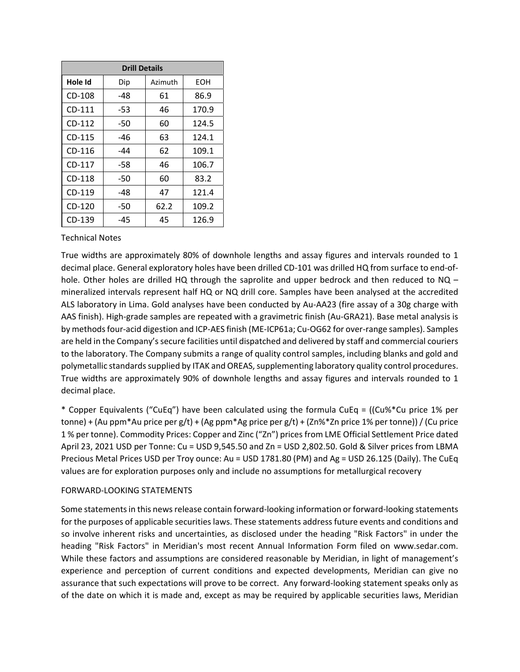| <b>Drill Details</b> |       |         |       |  |
|----------------------|-------|---------|-------|--|
| Hole Id              | Dip   | Azimuth | EOH   |  |
| CD-108               | $-48$ | 61      | 86.9  |  |
| $CD-111$             | $-53$ | 46      | 170.9 |  |
| $CD-112$             | $-50$ | 60      | 124.5 |  |
| CD-115               | -46   | 63      | 124.1 |  |
| CD-116               | -44   | 62      | 109.1 |  |
| CD-117               | $-58$ | 46      | 106.7 |  |
| CD-118               | $-50$ | 60      | 83.2  |  |
| CD-119               | -48   | 47      | 121.4 |  |
| CD-120               | $-50$ | 62.2    | 109.2 |  |
| CD-139               | $-45$ | 45      | 126.9 |  |

Technical Notes

True widths are approximately 80% of downhole lengths and assay figures and intervals rounded to 1 decimal place. General exploratory holes have been drilled CD‐101 was drilled HQ from surface to end‐of‐ hole. Other holes are drilled HQ through the saprolite and upper bedrock and then reduced to  $NQ$ mineralized intervals represent half HQ or NQ drill core. Samples have been analysed at the accredited ALS laboratory in Lima. Gold analyses have been conducted by Au‐AA23 (fire assay of a 30g charge with AAS finish). High‐grade samples are repeated with a gravimetric finish (Au‐GRA21). Base metal analysis is by methods four‐acid digestion and ICP‐AES finish (ME‐ICP61a; Cu‐OG62 for over‐range samples). Samples are held in the Company's secure facilities until dispatched and delivered by staff and commercial couriers to the laboratory. The Company submits a range of quality control samples, including blanks and gold and polymetallic standards supplied by ITAK and OREAS, supplementing laboratory quality control procedures. True widths are approximately 90% of downhole lengths and assay figures and intervals rounded to 1 decimal place.

\* Copper Equivalents ("CuEq") have been calculated using the formula CuEq = ((Cu%\*Cu price 1% per tonne) + (Au ppm\*Au price per g/t) + (Ag ppm\*Ag price per g/t) + (Zn%\*Zn price 1% per tonne)) / (Cu price 1 % per tonne). Commodity Prices: Copper and Zinc ("Zn") prices from LME Official Settlement Price dated April 23, 2021 USD per Tonne: Cu = USD 9,545.50 and Zn = USD 2,802.50. Gold & Silver prices from LBMA Precious Metal Prices USD per Troy ounce: Au = USD 1781.80 (PM) and Ag = USD 26.125 (Daily). The CuEq values are for exploration purposes only and include no assumptions for metallurgical recovery

#### FORWARD‐LOOKING STATEMENTS

Some statements in this news release contain forward‐looking information or forward‐looking statements for the purposes of applicable securities laws. These statements address future events and conditions and so involve inherent risks and uncertainties, as disclosed under the heading "Risk Factors" in under the heading "Risk Factors" in Meridian's most recent Annual Information Form filed on www.sedar.com. While these factors and assumptions are considered reasonable by Meridian, in light of management's experience and perception of current conditions and expected developments, Meridian can give no assurance that such expectations will prove to be correct. Any forward-looking statement speaks only as of the date on which it is made and, except as may be required by applicable securities laws, Meridian